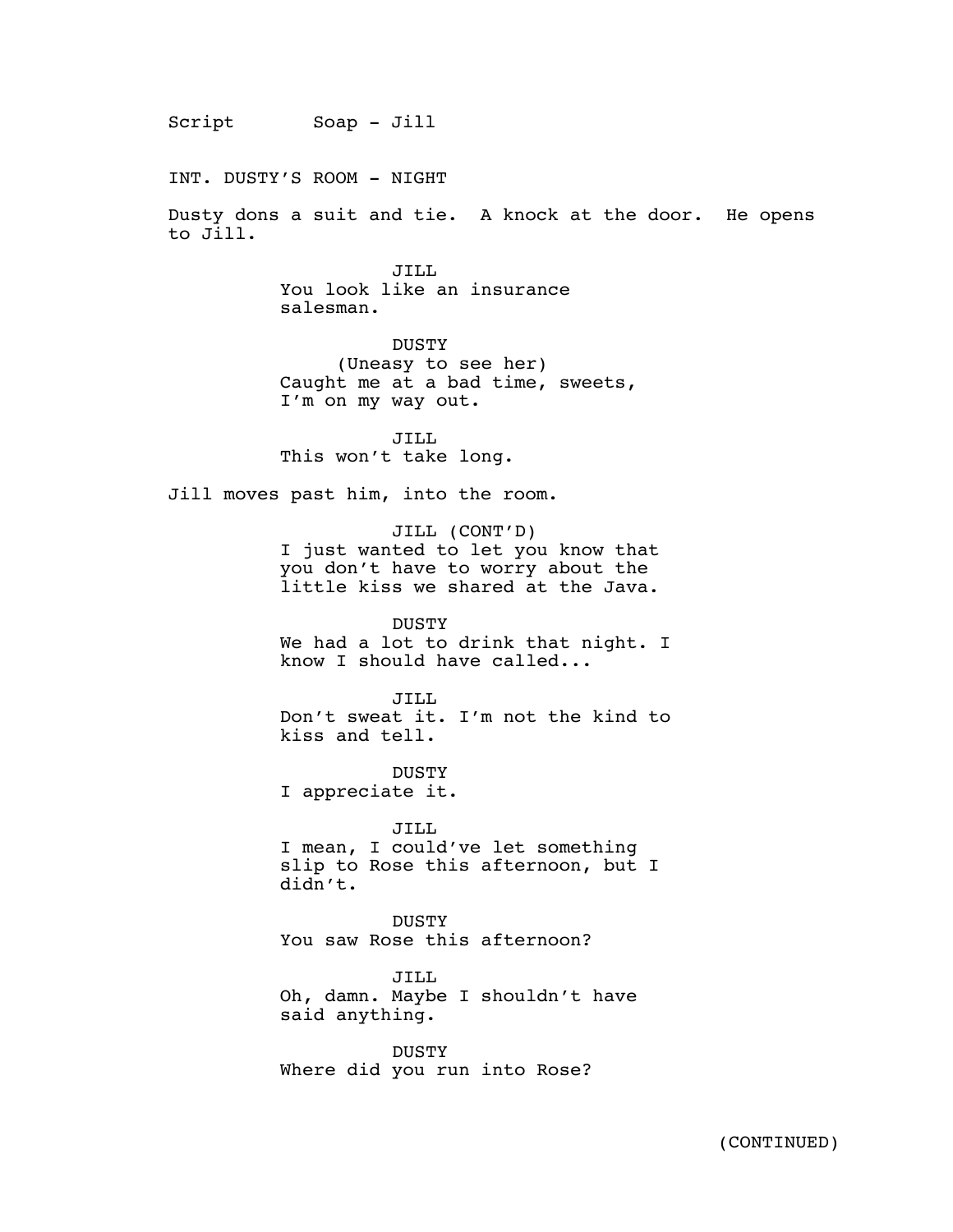Script  $\text{Soap - Jill}$ 

INT. DUSTY'S ROOM - NIGHT

Dusty dons a suit and tie. A knock at the door. He opens to Jill.

> JILL You look like an insurance salesman.

DUSTY (Uneasy to see her) Caught me at a bad time, sweets, I'm on my way out.

JILL This won't take long.

Jill moves past him, into the room.

JILL (CONT'D) I just wanted to let you know that you don't have to worry about the little kiss we shared at the Java.

DUSTY We had a lot to drink that night. I know I should have called...

JILL Don't sweat it. I'm not the kind to kiss and tell.

DUSTY I appreciate it.

JILL I mean, I could've let something slip to Rose this afternoon, but I didn't.

DUSTY You saw Rose this afternoon?

JILL Oh, damn. Maybe I shouldn't have said anything.

DUSTY Where did you run into Rose?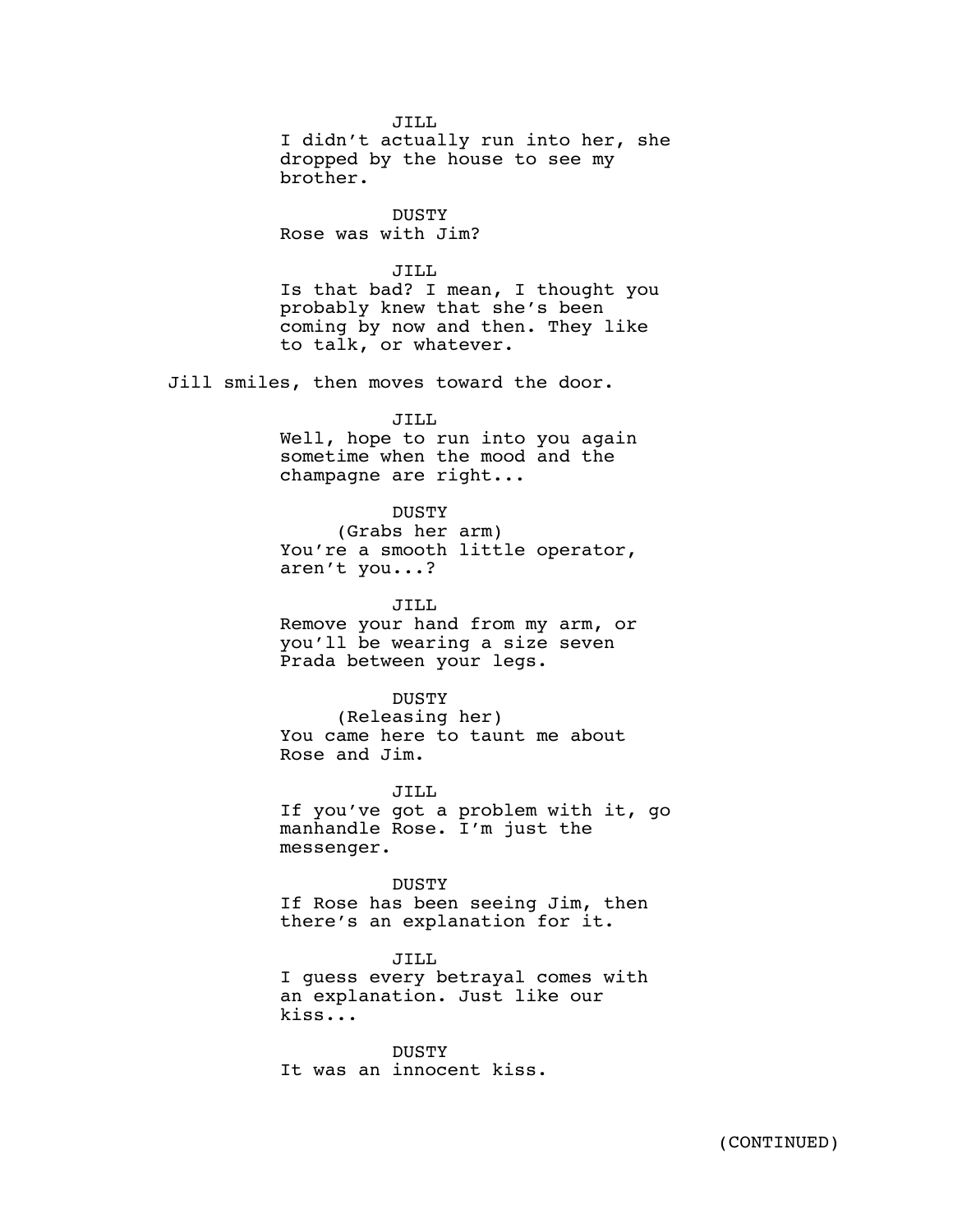JILL I didn't actually run into her, she dropped by the house to see my brother.

DUSTY Rose was with Jim?

JILL

Is that bad? I mean, I thought you probably knew that she's been coming by now and then. They like to talk, or whatever.

Jill smiles, then moves toward the door.

JILL Well, hope to run into you again sometime when the mood and the champagne are right...

## DUSTY

(Grabs her arm) You're a smooth little operator, aren't you...?

JILL Remove your hand from my arm, or you'll be wearing a size seven Prada between your legs.

## DUSTY

(Releasing her) You came here to taunt me about Rose and Jim.

JILL

If you've got a problem with it, go manhandle Rose. I'm just the messenger.

DUSTY

If Rose has been seeing Jim, then there's an explanation for it.

JILL I guess every betrayal comes with an explanation. Just like our kiss...

DUSTY It was an innocent kiss.